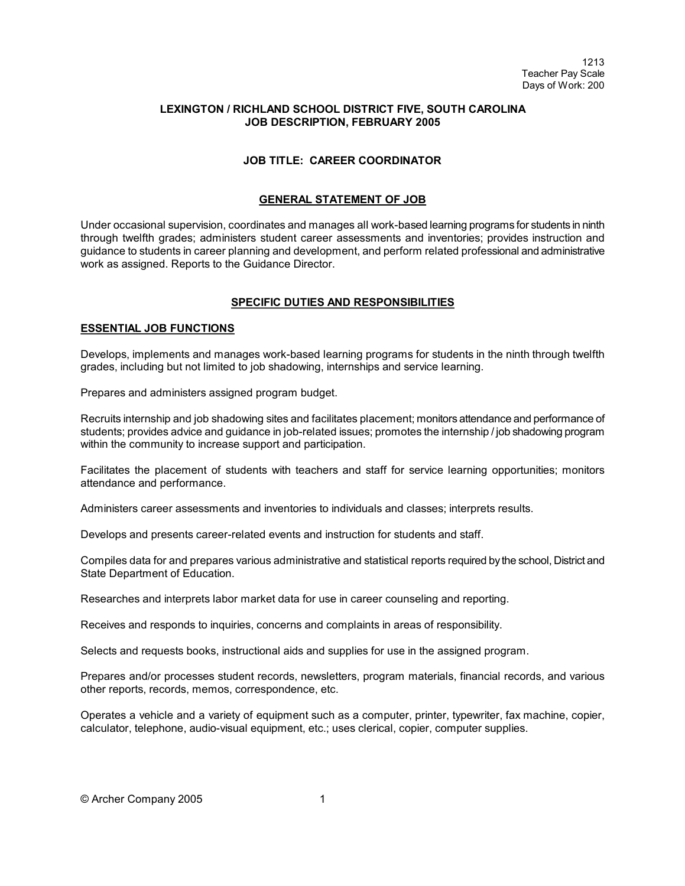## **LEXINGTON / RICHLAND SCHOOL DISTRICT FIVE, SOUTH CAROLINA JOB DESCRIPTION, FEBRUARY 2005**

# **JOB TITLE: CAREER COORDINATOR**

## **GENERAL STATEMENT OF JOB**

Under occasional supervision, coordinates and manages all work-based learning programs for students in ninth through twelfth grades; administers student career assessments and inventories; provides instruction and guidance to students in career planning and development, and perform related professional and administrative work as assigned. Reports to the Guidance Director.

### **SPECIFIC DUTIES AND RESPONSIBILITIES**

### **ESSENTIAL JOB FUNCTIONS**

Develops, implements and manages work-based learning programs for students in the ninth through twelfth grades, including but not limited to job shadowing, internships and service learning.

Prepares and administers assigned program budget.

Recruits internship and job shadowing sites and facilitates placement; monitors attendance and performance of students; provides advice and guidance in job-related issues; promotes the internship / job shadowing program within the community to increase support and participation.

Facilitates the placement of students with teachers and staff for service learning opportunities; monitors attendance and performance.

Administers career assessments and inventories to individuals and classes; interprets results.

Develops and presents career-related events and instruction for students and staff.

Compiles data for and prepares various administrative and statistical reports required by the school, District and State Department of Education.

Researches and interprets labor market data for use in career counseling and reporting.

Receives and responds to inquiries, concerns and complaints in areas of responsibility.

Selects and requests books, instructional aids and supplies for use in the assigned program.

Prepares and/or processes student records, newsletters, program materials, financial records, and various other reports, records, memos, correspondence, etc.

Operates a vehicle and a variety of equipment such as a computer, printer, typewriter, fax machine, copier, calculator, telephone, audio-visual equipment, etc.; uses clerical, copier, computer supplies.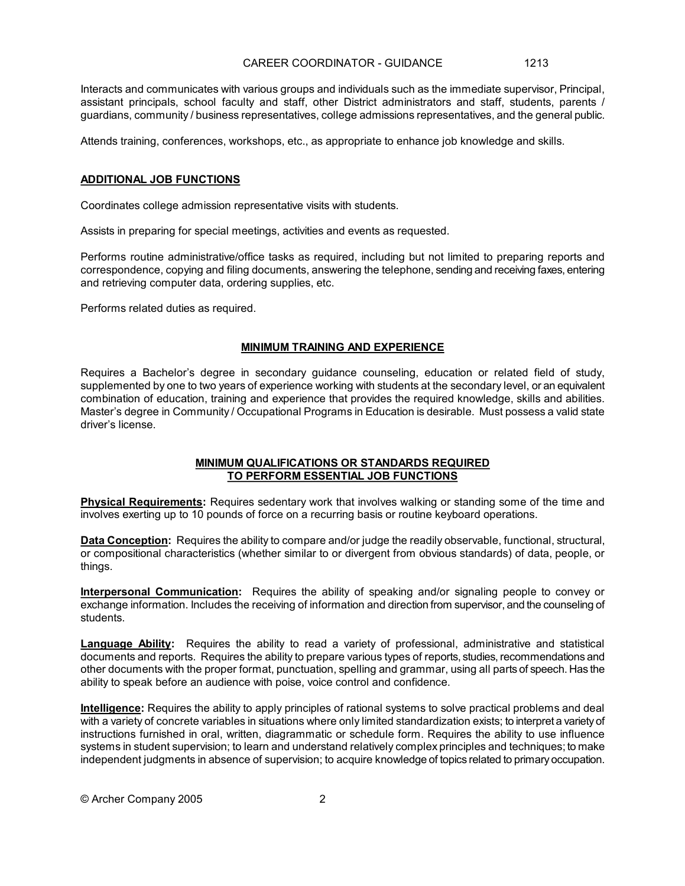Interacts and communicates with various groups and individuals such as the immediate supervisor, Principal, assistant principals, school faculty and staff, other District administrators and staff, students, parents / guardians, community / business representatives, college admissions representatives, and the general public.

Attends training, conferences, workshops, etc., as appropriate to enhance job knowledge and skills.

#### **ADDITIONAL JOB FUNCTIONS**

Coordinates college admission representative visits with students.

Assists in preparing for special meetings, activities and events as requested.

Performs routine administrative/office tasks as required, including but not limited to preparing reports and correspondence, copying and filing documents, answering the telephone, sending and receiving faxes, entering and retrieving computer data, ordering supplies, etc.

Performs related duties as required.

### **MINIMUM TRAINING AND EXPERIENCE**

Requires a Bachelor's degree in secondary guidance counseling, education or related field of study, supplemented by one to two years of experience working with students at the secondary level, or an equivalent combination of education, training and experience that provides the required knowledge, skills and abilities. Master's degree in Community / Occupational Programs in Education is desirable. Must possess a valid state driver's license.

### **MINIMUM QUALIFICATIONS OR STANDARDS REQUIRED TO PERFORM ESSENTIAL JOB FUNCTIONS**

**Physical Requirements:** Requires sedentary work that involves walking or standing some of the time and involves exerting up to 10 pounds of force on a recurring basis or routine keyboard operations.

**Data Conception:** Requires the ability to compare and/or judge the readily observable, functional, structural, or compositional characteristics (whether similar to or divergent from obvious standards) of data, people, or things.

**Interpersonal Communication:** Requires the ability of speaking and/or signaling people to convey or exchange information. Includes the receiving of information and direction from supervisor, and the counseling of students.

**Language Ability:** Requires the ability to read a variety of professional, administrative and statistical documents and reports. Requires the ability to prepare various types of reports, studies, recommendations and other documents with the proper format, punctuation, spelling and grammar, using all parts of speech. Has the ability to speak before an audience with poise, voice control and confidence.

**Intelligence:** Requires the ability to apply principles of rational systems to solve practical problems and deal with a variety of concrete variables in situations where only limited standardization exists; to interpret a varietyof instructions furnished in oral, written, diagrammatic or schedule form. Requires the ability to use influence systems in student supervision; to learn and understand relatively complex principles and techniques; to make independent judgments in absence of supervision; to acquire knowledge of topics related to primaryoccupation.

© Archer Company 2005 2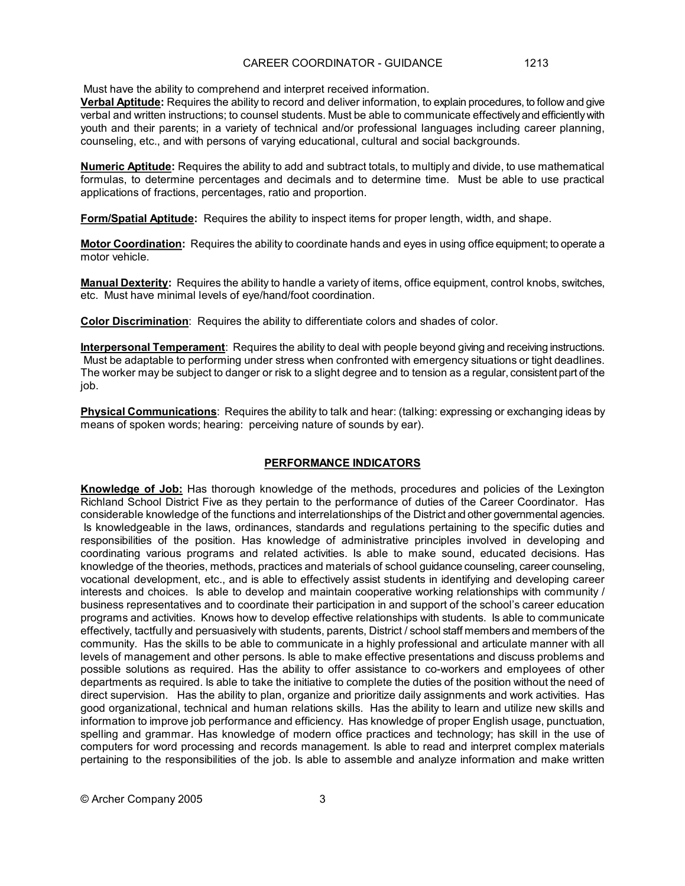Must have the ability to comprehend and interpret received information.

**Verbal Aptitude:** Requires the ability to record and deliver information, to explain procedures, to follow and give verbal and written instructions; to counsel students. Must be able to communicate effectivelyand efficientlywith youth and their parents; in a variety of technical and/or professional languages including career planning, counseling, etc., and with persons of varying educational, cultural and social backgrounds.

**Numeric Aptitude:** Requires the ability to add and subtract totals, to multiply and divide, to use mathematical formulas, to determine percentages and decimals and to determine time. Must be able to use practical applications of fractions, percentages, ratio and proportion.

**Form/Spatial Aptitude:** Requires the ability to inspect items for proper length, width, and shape.

**Motor Coordination:** Requires the ability to coordinate hands and eyes in using office equipment; to operate a motor vehicle.

**Manual Dexterity:** Requires the ability to handle a variety of items, office equipment, control knobs, switches, etc. Must have minimal levels of eye/hand/foot coordination.

**Color Discrimination**: Requires the ability to differentiate colors and shades of color.

**Interpersonal Temperament**: Requires the ability to deal with people beyond giving and receiving instructions. Must be adaptable to performing under stress when confronted with emergency situations or tight deadlines. The worker may be subject to danger or risk to a slight degree and to tension as a regular, consistent part of the job.

**Physical Communications**: Requires the ability to talk and hear: (talking: expressing or exchanging ideas by means of spoken words; hearing: perceiving nature of sounds by ear).

### **PERFORMANCE INDICATORS**

**Knowledge of Job:** Has thorough knowledge of the methods, procedures and policies of the Lexington Richland School District Five as they pertain to the performance of duties of the Career Coordinator. Has considerable knowledge of the functions and interrelationships of the District and other governmental agencies. Is knowledgeable in the laws, ordinances, standards and regulations pertaining to the specific duties and responsibilities of the position. Has knowledge of administrative principles involved in developing and coordinating various programs and related activities. Is able to make sound, educated decisions. Has knowledge of the theories, methods, practices and materials of school guidance counseling, career counseling, vocational development, etc., and is able to effectively assist students in identifying and developing career interests and choices. Is able to develop and maintain cooperative working relationships with community / business representatives and to coordinate their participation in and support of the school's career education programs and activities. Knows how to develop effective relationships with students. Is able to communicate effectively, tactfully and persuasively with students, parents, District / school staff members and members of the community. Has the skills to be able to communicate in a highly professional and articulate manner with all levels of management and other persons. Is able to make effective presentations and discuss problems and possible solutions as required. Has the ability to offer assistance to co-workers and employees of other departments as required. Is able to take the initiative to complete the duties of the position without the need of direct supervision. Has the ability to plan, organize and prioritize daily assignments and work activities. Has good organizational, technical and human relations skills. Has the ability to learn and utilize new skills and information to improve job performance and efficiency. Has knowledge of proper English usage, punctuation, spelling and grammar. Has knowledge of modern office practices and technology; has skill in the use of computers for word processing and records management. Is able to read and interpret complex materials pertaining to the responsibilities of the job. Is able to assemble and analyze information and make written

© Archer Company 2005 3